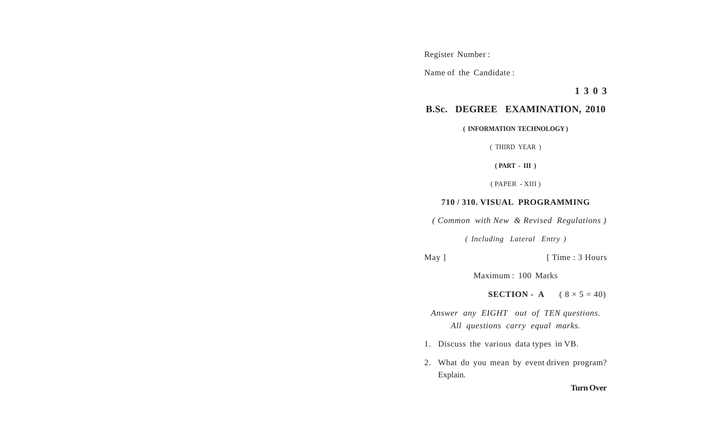Register Number :

Name of the Candidate :

**1 3 0 3**

## **B.Sc. DEGREE EXAMINATION, 2010**

**( INFORMATION TECHNOLOGY )**

( THIRD YEAR )

**( PART - III )**

( PAPER - XIII )

## **710 / 310. VISUAL PROGRAMMING**

 *( Common with New & Revised Regulations )*

*( Including Lateral Entry )*

May ] [ Time : 3 Hours

Maximum : 100 Marks

**SECTION - A**  $(8 \times 5 = 40)$ 

*Answer any EIGHT out of TEN questions. All questions carry equal marks.*

- 1. Discuss the various data types in VB.
- 2. What do you mean by event driven program? Explain.

**Turn Over**